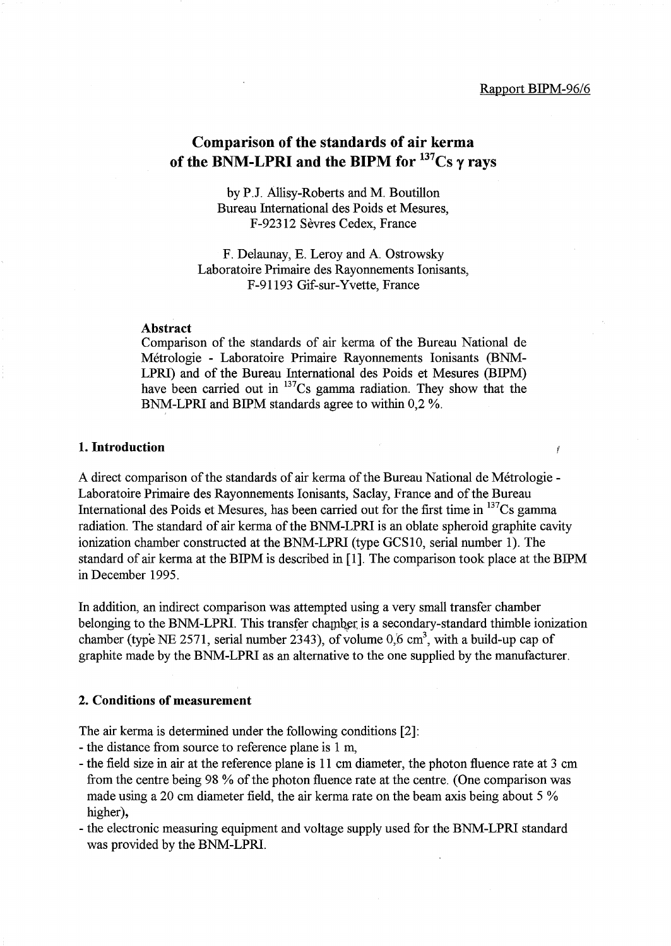Ÿ

# Comparison of the standards of air kerma of the BNM-LPRI and the BIPM for  $137Cs$  y rays

by P.J. Allisy-Roberts and M. Boutillon Bureau International des Poids et Mesures, F-92312 Sevres Cedex, France

F. Delaunay, E. Leroy and A. Ostrowsky Laboratoire Primaire des Rayonnements Ionisants, F-91193 Gif-sur-Yvette, France

#### Abstract

Comparison of the standards of air kerma of the Bureau National de Metrologie - Laboratoire Primaire Rayonnements Ionisants (BNM-LPRI) and of the Bureau International des Poids et Mesures (BIPM) have been carried out in <sup>137</sup>Cs gamma radiation. They show that the BNM-LPRI and BIPM standards agree to within 0,2 %.

#### 1. Introduction

A direct comparison of the standards of air kerma of the Bureau National de Metrologie - Laboratoire Primaire des Rayonnements Ionisants, Saclay, France and of the Bureau International des Poids et Mesures, has been carried out for the first time in  $137$ Cs gamma radiation. The standard of air kerrna of the BNM-LPRI is an oblate spheroid graphite cavity ionization chamber constructed at the BNM-LPRI (type GCS10, serial number 1). The standard of air kerrna at the BIPM is described in [1]. The comparison took place at the BIPM in December 1995.

In addition, an indirect comparison was attempted using a very small transfer chamber belonging to the BNM-LPRI. This transfer chamber is a secondary-standard thimble ionization chamber (type NE 2571, serial number 2343), of volume  $0.6 \text{ cm}^3$ , with a build-up cap of graphite made by the BNM-LPRI as an alternative to the one supplied by the manufacturer.

#### 2. Conditions of measurement

The air kerma is determined under the following conditions [2]:

- the distance from source to reference plane is 1 m,
- the field size in air at the reference plane is 11 cm diameter, the photon fluence rate at 3 cm from the centre being 98 % of the photon fluence rate at the centre. (One comparison was made using a 20 cm diameter field, the air kerma rate on the beam axis being about 5 % higher),
- the electronic measuring equipment and voltage supply used for the BNM-LPRI standard was provided by the BNM-LPRI.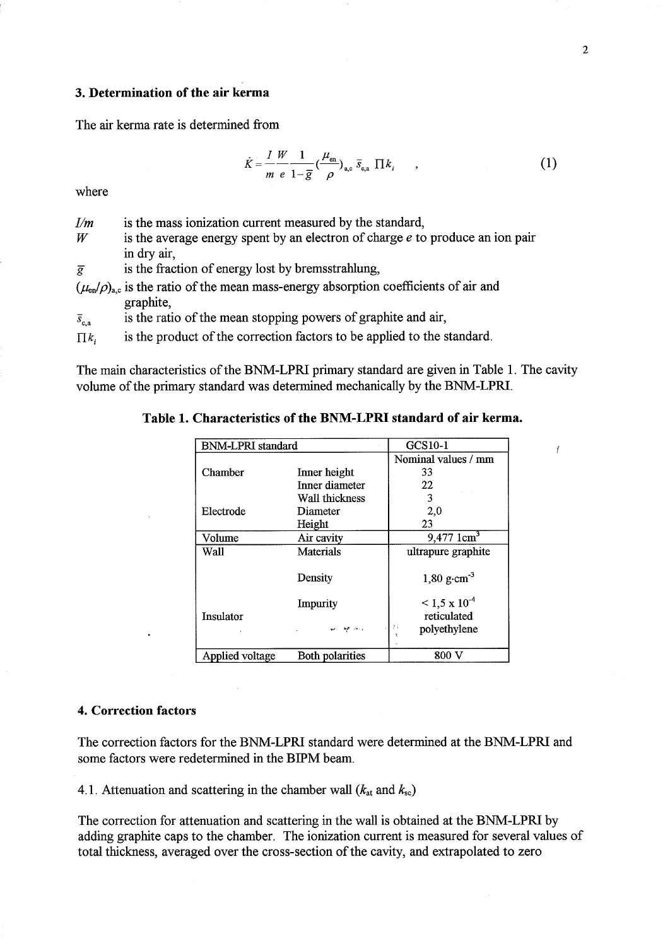# 3. Determination of the air kerma

The air kerma rate is determined from

$$
\dot{K} = \frac{I}{m} \frac{W}{e} \frac{1}{1 - \overline{g}} \left(\frac{\mu_{\text{en}}}{\rho}\right)_{\text{a,c}} \overline{s}_{\text{c,a}} \prod k_i \qquad , \tag{1}
$$

where

W is the average energy spent by an electron of charge *e* to produce an ion pair in dry air,

 $\overline{g}$  is the fraction of energy lost by bremsstrahlung,

 $(\mu_{en}/\rho)_{a,c}$  is the ratio of the mean mass-energy absorption coefficients of air and graphite,

 $\bar{s}_{c,a}$  is the ratio of the mean stopping powers of graphite and air,

 $\prod k_i$  is the product of the correction factors to be applied to the standard.

The main characteristics of the BNM-LPRI primary standard are given in Table 1. The cavity volume of the primary standard was determined mechanically by the BNM-LPRI.

Table 1. Characteristics of the BNM-LPRI standard of air kerma.

| <b>BNM-LPRI</b> standard |                        | GCS10-1                   |
|--------------------------|------------------------|---------------------------|
|                          |                        | Nominal values / mm       |
| Chamber                  | Inner height           | 33                        |
|                          | Inner diameter         | 22                        |
|                          | Wall thickness         | 3                         |
| Electrode                | Diameter               | 2,0                       |
|                          | Height                 | 23                        |
| Volume                   | Air cavity             | 9,477 $1 \text{cm}^3$     |
| Wall                     | <b>Materials</b>       | ultrapure graphite        |
|                          | Density                | 1,80 $g \cdot cm^{-3}$    |
|                          | Impurity               | $\leq 1.5 \times 10^{-4}$ |
| Insulator                |                        | reticulated               |
|                          |                        | 萨尔<br>polyethylene        |
| Applied voltage          | <b>Both polarities</b> | 800 V                     |

#### 4. Correction factors

The correction factors for the BNM-LPRI standard were determined at the BNM-LPRI and some factors were redetermined in the BIPM beam.

4.1. Attenuation and scattering in the chamber wall  $(k_{at}$  and  $k_{sc})$ 

The correction for attenuation and scattering in the wall is obtained at the BNM-LPRI by adding graphite caps to the chamber. The ionization current is measured for several values of total thickness, averaged over the cross-section of the cavity, and extrapolated to zero

Ĭ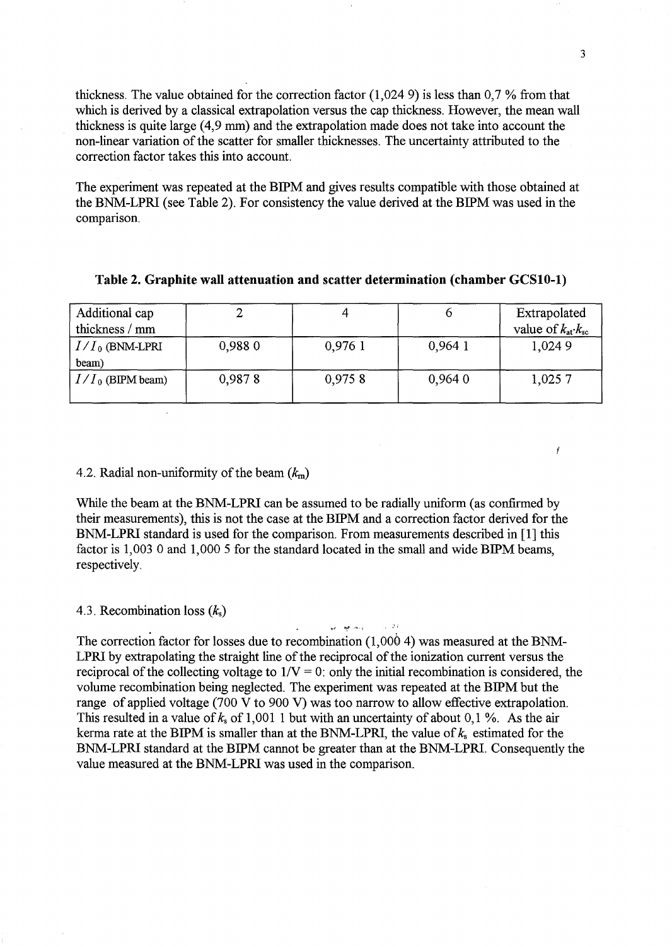thickness. The value obtained for the correction factor (1,0249) is less than 0,7 % from that which is derived by a classical extrapolation versus the cap thickness. However, the mean wall thickness is quite large (4,9 mm) and the extrapolation made does not take into account the non-linear variation of the scatter for smaller thicknesses. The uncertainty attributed to the correction factor takes this into account.

The experiment was repeated at the BIPM and gives results compatible with those obtained at the BNM-LPRI (see Table 2). For consistency the value derived at the BIPM was used in the comparison.

| Additional cap<br>thickness / mm |        |         |        | Extrapolated<br>value of $k_{\text{at}} \cdot k_{\text{sc}}$ |
|----------------------------------|--------|---------|--------|--------------------------------------------------------------|
| $I/I_0$ (BNM-LPRI<br>beam)       | 0,9880 | 0,976 1 | 0,9641 | 1,0249                                                       |
| $I/I_0$ (BIPM beam)              | 0,9878 | 0,9758  | 0,9640 | 1,0257                                                       |

## Table 2. Graphite wall attenuation and scatter determination (chamber GCSIO-l)

#### 4.2. Radial non-uniformity of the beam *(km)*

While the beam at the BNM-LPRI can be assumed to be radially uniform (as confirmed by their measurements), this is not the case at the BIPM and a correction factor derived for the BNM-LPRI standard is used for the comparison. From measurements described in [1] this factor is  $1,003$  0 and  $1,000$  5 for the standard located in the small and wide BIPM beams, respectively.

### 4.3. Recombination loss (k*s)*

The correction factor for losses due to recombination (1,000 4) was measured at the BNM-LPRI by extrapolating the straight line of the reciprocal of the ionization current versus the reciprocal of the collecting voltage to  $1/V = 0$ : only the initial recombination is considered, the volume recombination being neglected. The experiment was repeated at the BIPM but the range of applied voltage (700 V to 900 V) was too narrow to allow effective extrapolation. This resulted in a value of *ks* of 1,001 1 but with an uncertainty of about 0,1 %. As the air kerma rate at the BIPM is smaller than at the BNM-LPRI, the value of  $k_s$  estimated for the BNM-LPRI standard at the BIPM cannot be greater than at the BNM-LPRI. Consequently the value measured at the BNM-LPRI was used in the comparison.

ar ar oll

 $\sim$  34

Ĭ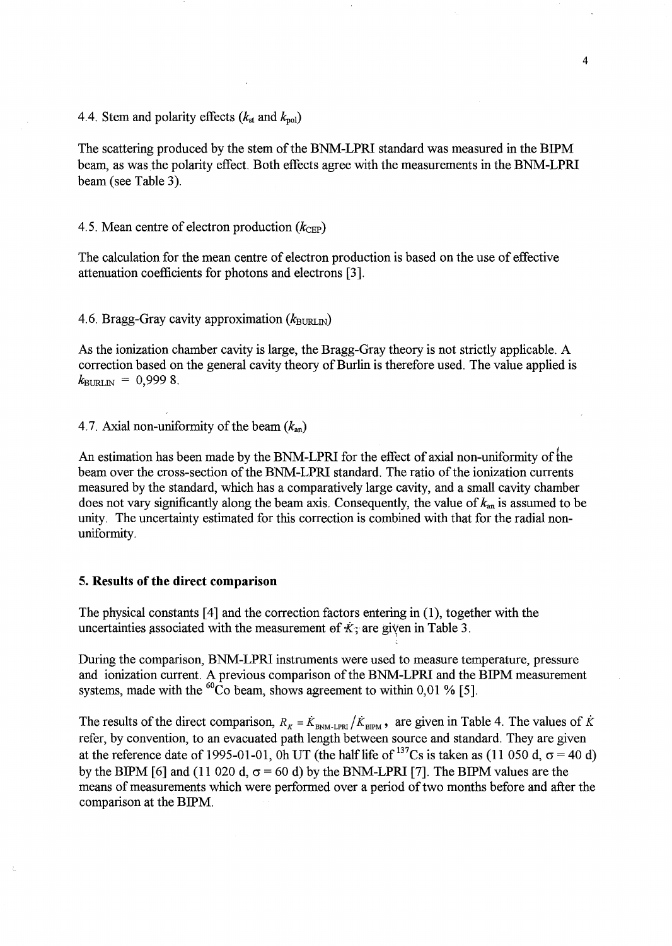4.4. Stem and polarity effects  $(k_{st}$  and  $k_{pol}$ )

The scattering produced by the stem of the BNM-LPRl standard was measured in the BIPM beam, as was the polarity effect. Both effects agree with the measurements in the BNM-LPRl beam (see Table 3).

4.5. Mean centre of electron production  $(k_{\text{CEP}})$ 

The calculation for the mean centre of electron production is based on the use of effective attenuation coefficients for photons and electrons [3].

4.6. Bragg-Gray cavity approximation ( $k_{\text{BURLN}}$ )

As the ionization chamber cavity is large, the Bragg-Gray theory is not strictly applicable. A correction based on the general cavity theory of Burlin is therefore used. The value applied is  $k_{\text{BURLN}} = 0,9998$ .

4.7. Axial non-uniformity of the beam  $(k_{an})$ 

An estimation has been made by the BNM-LPRI for the effect of axial non-uniformity of the beam over the cross-section of the BNM-LPRl standard. The ratio of the ionization currents measured by the standard, which has a comparatively large cavity, and a small cavity chamber does not vary significantly along the beam axis. Consequently, the value of  $k_{an}$  is assumed to be unity. The uncertainty estimated for this correction is combined with that for the radial nonuniformity.

### 5. Results of the direct comparison

The physical constants [4] and the correction factors entering in (1), together with the uncertainties associated with the measurement of  $\dot{\kappa}$ ; are given in Table 3.

During the comparison, BNM-LPRl instruments were used to measure temperature, pressure and ionization current. A previous comparison of the BNM-LPRl and the BIPM measurement systems, made with the  ${}^{60}\text{Co}$  beam, shows agreement to within 0,01 % [5].

The results of the direct comparison,  $R_K = \dot{K}_{BNM-LPRI}/\dot{K}_{BIPM}$ , are given in Table 4. The values of  $\dot{K}$ refer, by convention, to an evacuated path length between source and standard. They are given at the reference date of 1995-01-01, Oh UT (the half life of <sup>137</sup>Cs is taken as (11 050 d,  $\sigma$  = 40 d) by the BIPM [6] and (11 020 d,  $\sigma$  = 60 d) by the BNM-LPRI [7]. The BIPM values are the means of measurements which were performed over a period of two months before and after the comparison at the BIPM.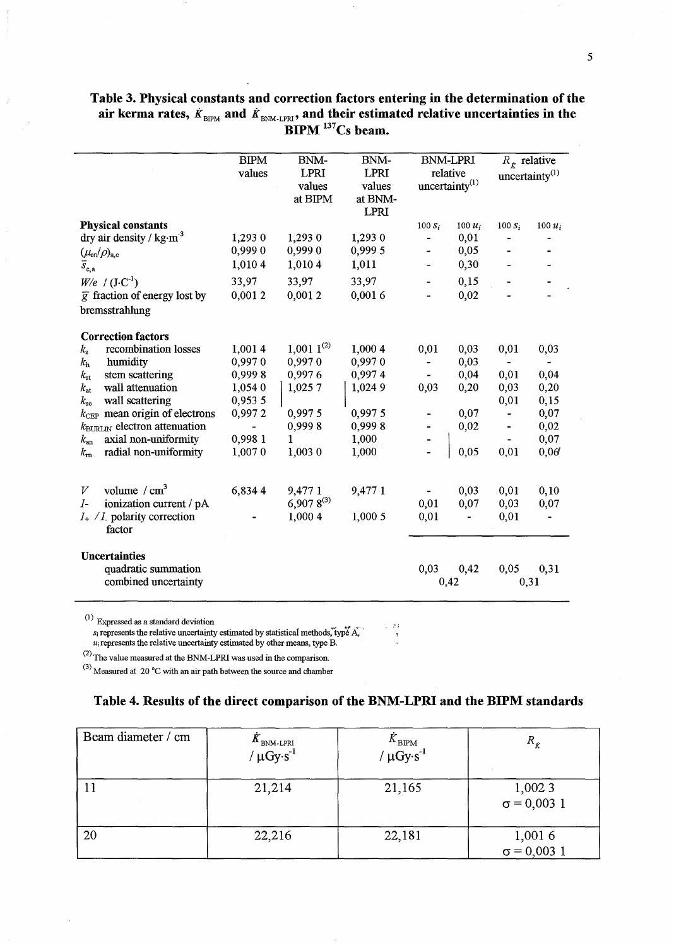|                                                                              | <b>BIPM</b>              | BNM-            | BNM-        | <b>BNM-LPRI</b>          |                   | $R_k$ relative |                   |
|------------------------------------------------------------------------------|--------------------------|-----------------|-------------|--------------------------|-------------------|----------------|-------------------|
|                                                                              | values                   | <b>LPRI</b>     | <b>LPRI</b> |                          | relative          |                | uncertainty $(1)$ |
|                                                                              |                          | values          | values      | uncertainty $(1)$        |                   |                |                   |
|                                                                              |                          | at BIPM         | at BNM-     |                          |                   |                |                   |
|                                                                              |                          |                 | LPRI        |                          |                   |                |                   |
| <b>Physical constants</b><br>dry air density / $\text{kg}\cdot\text{m}^{-3}$ | 1,293 0                  | 1,293 0         | 1,293 0     | $100 S_i$<br>-           | $100 u_i$<br>0,01 | $100 S_i$      | $100 u_i$         |
|                                                                              | 0,9990                   | 0,9990          | 0,999 5     | $\overline{\phantom{0}}$ | 0,05              |                |                   |
| $(\mu_{\rm en}/\rho)_{\rm a.c}$                                              | 1,010 4                  | 1,010 4         |             |                          |                   |                |                   |
| $\overline{s}_{\mathrm{c,a}}$                                                |                          |                 | 1,011       |                          | 0,30              |                |                   |
| $W/e$ / $(J \cdot C^{-1})$                                                   | 33,97                    | 33,97           | 33,97       |                          | 0,15              |                |                   |
| $\overline{g}$ fraction of energy lost by                                    | 0,0012                   | 0,0012          | 0,0016      |                          | 0,02              |                |                   |
| bremsstrahlung                                                               |                          |                 |             |                          |                   |                |                   |
| <b>Correction factors</b>                                                    |                          |                 |             |                          |                   |                |                   |
| recombination losses<br>$k_{\rm s}$                                          | 1,0014                   | $1,001~1^{(2)}$ | 1,000 4     | 0,01                     | 0,03              | 0,01           | 0,03              |
| humidity<br>$k_{\rm h}$                                                      | 0,9970                   | 0,9970          | 0,9970      |                          | 0,03              | $\blacksquare$ | $\sim$            |
| stem scattering<br>$k_{\rm st}$                                              | 0,9998                   | 0.9976          | 0,9974      | $\blacksquare$           | 0,04              | 0,01           | 0,04              |
| wall attenuation<br>$k_{\rm at}$                                             | 1,054 0                  | 1,0257          | 1,024 9     | 0,03                     | 0,20              | 0,03           | 0,20              |
| wall scattering<br>$k_{\rm sc}$                                              | 0,953 5                  |                 |             |                          |                   | 0,01           | 0,15              |
| $k_{\text{CEP}}$ mean origin of electrons                                    | 0,9972                   | 0,9975          | 0,997 5     |                          | 0,07              |                | 0,07              |
| $k_{\text{BURLN}}$ electron attenuation                                      | $\overline{\phantom{a}}$ | 0,9998          | 0,9998      |                          | 0,02              |                | 0,02              |
| axial non-uniformity<br>$k_{\rm an}$                                         | 0,998 1                  | 1               | 1,000       |                          |                   | $\frac{1}{2}$  | 0,07              |
| radial non-uniformity<br>$k_{\rm m}$                                         | 1,0070                   | 1,003 0         | 1,000       |                          | 0,05              | 0,01           | 0,06              |
|                                                                              |                          |                 |             |                          |                   |                |                   |
| volume $/cm3$<br>V                                                           | 6,8344                   | 9,477 1         | 9,477 1     |                          | 0,03              | 0,01           | 0,10              |
| ionization current / pA<br>$I-$                                              |                          | $6,9078^{(3)}$  |             | 0,01                     | 0,07              | 0,03           | 0,07              |
| $I_{+}/I_{-}$ polarity correction<br>factor                                  |                          | 1,000 4         | 1,0005      | 0,01                     | ÷,                | 0,01           |                   |
| <b>Uncertainties</b>                                                         |                          |                 |             |                          |                   |                |                   |
| quadratic summation                                                          |                          |                 |             | 0,03                     | 0,42              | 0,05           | 0,31              |
| combined uncertainty                                                         |                          |                 |             |                          | 0,42              |                | 0,31              |
|                                                                              |                          |                 |             |                          |                   |                |                   |

# Table 3. Physical constants and correction factors entering in the determination of the air kerma rates,  $\dot{K}_{\text{\tiny BIPM}}$  and  $\dot{K}_{\text{\tiny BNM-LPRI}}$ , and their estimated relative uncertainties in the  $BIPM$ <sup>137</sup>Cs beam.

 $S^{(1)}$  Expressed as a standard deviation  $s_i$  represents the relative uncertainty estimated by statistical methods, type  $A_i$ .  $u_i$  represents the relative uncertainty estimated by other means, type B.

(2) The value measured at the BNM-LPRl was used in the comparison.

 $^{(3)}$  Measured at 20 °C with an air path between the source and chamber

## Table 4. Results of the direct comparison of the BNM-LPRI and the BIPM standards

 $\sim 20$  $\mathfrak{r}$ 

| Beam diameter / cm | $\mathbf{A}_{\text{BNM-LPRI}}$<br>/ $\mu$ Gy·s <sup>-1</sup> | $\frac{K_{\rm BIPM}}{\mu {\rm G} {\rm y} {\cdot} {\rm s}^{-1}}$ | $R_{k}$                      |
|--------------------|--------------------------------------------------------------|-----------------------------------------------------------------|------------------------------|
|                    | 21,214                                                       | 21,165                                                          | 1,0023<br>$\sigma = 0,003$ 1 |
| 20                 | 22,216                                                       | 22,181                                                          | 1,0016<br>$\sigma = 0,003$ 1 |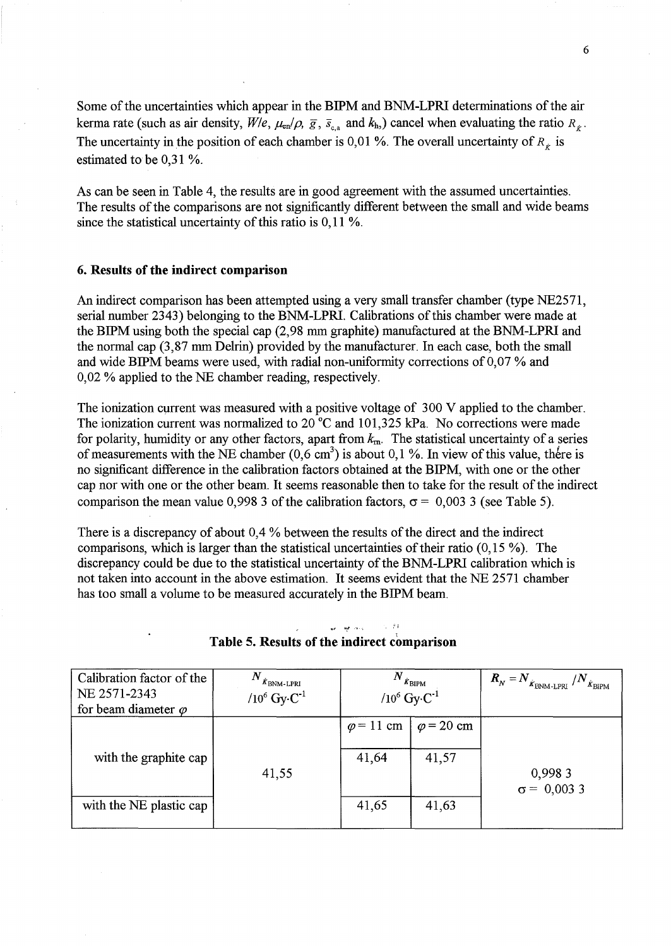Some of the uncertainties which appear in the BIPM and BNM-LPRI determinations of the air kerma rate (such as air density,  $W/e$ ,  $\mu_{en}/\rho$ ,  $\bar{g}$ ,  $\bar{s}_{c,a}$  and  $k_h$ ) cancel when evaluating the ratio  $R_{\kappa}$ . The uncertainty in the position of each chamber is 0,01 %. The overall uncertainty of  $R<sub>r</sub>$  is estimated to be 0,31 %.

As can be seen in Table 4, the results are in good agreement with the assumed uncertainties. The results of the comparisons are not significantly different between the small and wide beams since the statistical uncertainty of this ratio is 0,11 %.

#### 6. Results of the indirect comparison

An indirect comparison has been attempted using a very small transfer chamber (type NE2571, serial number 2343) belonging to the BNM-LPRI. Calibrations of this chamber were made at the BIPM using both the special cap (2,98 mm graphite) manufactured at the BNM-LPRI and the normal cap (3,87 mm Delrin) provided by the manufacturer. In each case, both the small and wide BIPM beams were used, with radial non-uniformity corrections of  $0.07$ % and 0,02 % applied to the NE chamber reading, respectively.

The ionization current was measured with a positive voltage of 300 V applied to the chamber. The ionization current was normalized to 20  $^{\circ}$ C and 101,325 kPa. No corrections were made for polarity, humidity or any other factors, apart from  $k<sub>m</sub>$ . The statistical uncertainty of a series of measurements with the NE chamber  $(0,6 \text{ cm}^3)$  is about 0,1 %. In view of this value, there is no significant difference in the calibration factors obtained at the BIPM, with one or the other cap nor with one or the other beam. It seems reasonable then to take for the result of the indirect comparison the mean value 0,998 3 of the calibration factors,  $\sigma = 0.003$  3 (see Table 5).

There is a discrepancy of about 0,4 % between the results of the direct and the indirect comparisons, which is larger than the statistical uncertainties of their ratio (0,15 %). The discrepancy could be due to the statistical uncertainty of the BNM-LPRI calibration which is not taken into account in the above estimation. It seems evident that the NE 2571 chamber has too small a volume to be measured accurately in the BIPM beam.

| Calibration factor of the<br>NE 2571-2343<br>for beam diameter $\varphi$ | $\boldsymbol{N}$<br>$\dot{K}$ BNM-LPRI<br>/10 $^6$ Gy $\cdot$ C <sup>-1</sup> | N<br>$\dot{\mathcal{K}}_{\mbox{\small BIPM}}$<br>/ $10^6$ Gy·C <sup>-1</sup> |                                     | $\bm{R}_N^{} = \bm{N}_{\dot{\bm{K}}_{\text{BNM-LPRI}}^{}}$<br>/ $N_{\dot{K}_{\rm BIPM}}$ |
|--------------------------------------------------------------------------|-------------------------------------------------------------------------------|------------------------------------------------------------------------------|-------------------------------------|------------------------------------------------------------------------------------------|
| with the graphite cap<br>with the NE plastic cap                         | 41,55                                                                         | $\varphi$ = 11 cm<br>41,64<br>41,65                                          | $\varphi$ = 20 cm<br>41,57<br>41,63 | 0,9983<br>$\sigma = 0,0033$                                                              |

# Table 5. Results of the indirect comparison

<sup>~</sup>." *"'t* '-", ,;1 <sup>i</sup>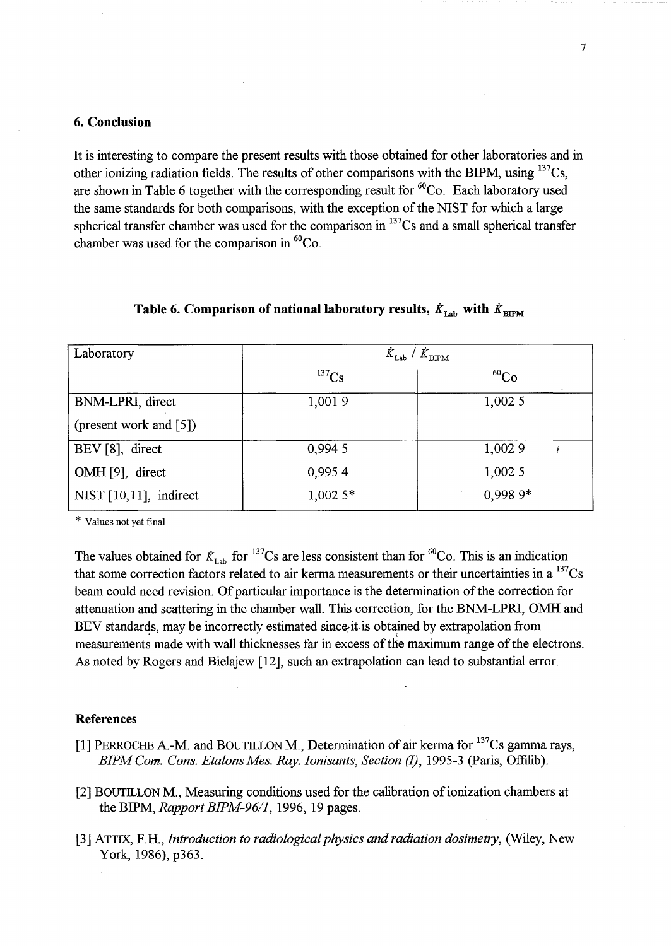### **6. Conclusion**

It is interesting to compare the present results with those obtained for other laboratories and in other ionizing radiation fields. The results of other comparisons with the BIPM, using  $^{137}Cs$ , are shown in Table 6 together with the corresponding result for  ${}^{60}Co$ . Each laboratory used the same standards for both comparisons, with the exception of the NIST for which a large spherical transfer chamber was used for the comparison in  $137$ Cs and a small spherical transfer chamber was used for the comparison in  ${}^{60}Co$ .

| Laboratory             | $K_{\rm Lab}$<br>$\dot{K}_{\rm BIPM}$ |             |  |  |
|------------------------|---------------------------------------|-------------|--|--|
|                        | $^{137}Cs$                            | ${}^{60}Co$ |  |  |
| BNM-LPRI, direct       | 1,0019                                | 1,0025      |  |  |
| (present work and [5]) |                                       |             |  |  |
| BEV [8], direct        | 0,994 5                               | 1,002 9     |  |  |
| OMH [9], direct        | 0,9954                                | 1,0025      |  |  |
| NIST [10,11], indirect | $1,002.5*$                            | $0.9989*$   |  |  |

| Table 6. Comparison of national laboratory results, $\dot{K}_{\rm Lab}$ with $\dot{K}_{\rm BIPM}$ |  |
|---------------------------------------------------------------------------------------------------|--|
|---------------------------------------------------------------------------------------------------|--|

\* Values not yet fmal

The values obtained for  $K_{\text{Lab}}$  for <sup>137</sup>Cs are less consistent than for <sup>60</sup>Co. This is an indication that some correction factors related to air kerma measurements or their uncertainties in a  $^{137}Cs$ beam could need revision. Of particular importance is the determination of the correction for attenuation and scattering in the chamber wall. This correction, for the BNM-LPRI, OMH and BEV standards, may be incorrectly estimated since it is obtained by extrapolation from measurements made with wall thicknesses far in excess of the maximum range of the electrons. As noted by Rogers and Bielajew [12], such an extrapolation can lead to substantial error.

#### **References**

- [1] PERROCHE A.-M. and BOUTILLON M., Determination of air kerma for <sup>137</sup>Cs gamma rays, *BIPM Com. Cons. Etalons Mes. Ray. Ionisants, Section (1), 1995-3 (Paris, Offilib).*
- [2] BOUTILLON M., Measuring conditions used for the calibration of ionization chambers at the BIPM, *Rapport BIPM-96/1,* 1996, 19 pages.
- [3] ATTIX, F.H., *Introduction to radiological physics and radiation dosimetry*, (Wiley, New York, 1986), p363.